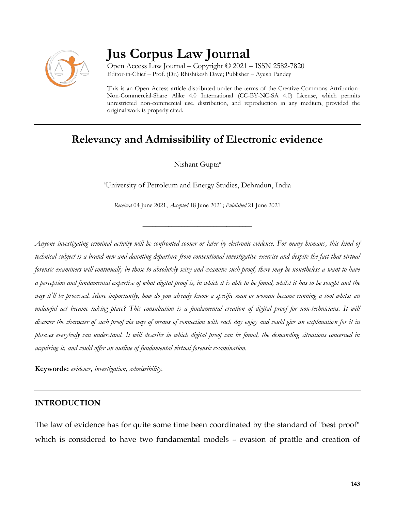

# **Jus Corpus Law Journal**

Open Access Law Journal – Copyright © 2021 – ISSN 2582-7820 Editor-in-Chief – Prof. (Dr.) Rhishikesh Dave; Publisher – Ayush Pandey

This is an Open Access article distributed under the terms of the Creative Commons Attribution-Non-Commercial-Share Alike 4.0 International (CC-BY-NC-SA 4.0) License, which permits unrestricted non-commercial use, distribution, and reproduction in any medium, provided the original work is properly cited.

## **Relevancy and Admissibility of Electronic evidence**

Nishant Gupta<sup>a</sup>

<sup>a</sup>University of Petroleum and Energy Studies, Dehradun, India

*Received* 04 June 2021; *Accepted* 18 June 2021; *Published* 21 June 2021

\_\_\_\_\_\_\_\_\_\_\_\_\_\_\_\_\_\_\_\_\_\_\_\_\_\_\_\_\_\_\_\_\_\_

*Anyone investigating criminal activity will be confronted sooner or later by electronic evidence. For many humans, this kind of technical subject is a brand new and daunting departure from conventional investigative exercise and despite the fact that virtual forensic examiners will continually be those to absolutely seize and examine such proof, there may be nonetheless a want to have a perception and fundamental expertise of what digital proof is, in which it is able to be found, whilst it has to be sought and the way it'll be processed. More importantly, how do you already know a specific man or woman became running a tool whilst an unlawful act became taking place? This consultation is a fundamental creation of digital proof for non-technicians. It will discover the character of such proof via way of means of connection with each day enjoy and could give an explanation for it in phrases everybody can understand. It will describe in which digital proof can be found, the demanding situations concerned in acquiring it, and could offer an outline of fundamental virtual forensic examination.*

**Keywords:** *evidence, investigation, admissibility.*

#### **INTRODUCTION**

The law of evidence has for quite some time been coordinated by the standard of "best proof" which is considered to have two fundamental models – evasion of prattle and creation of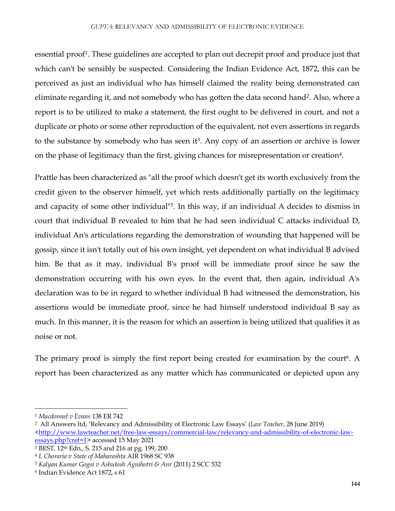essential proof<sup>1</sup>. These guidelines are accepted to plan out decrepit proof and produce just that which can't be sensibly be suspected. Considering the Indian Evidence Act, 1872, this can be perceived as just an individual who has himself claimed the reality being demonstrated can eliminate regarding it, and not somebody who has gotten the data second hand<sup>2</sup>. Also, where a report is to be utilized to make a statement, the first ought to be delivered in court, and not a duplicate or photo or some other reproduction of the equivalent, not even assertions in regards to the substance by somebody who has seen it<sup>3</sup>. Any copy of an assertion or archive is lower on the phase of legitimacy than the first, giving chances for misrepresentation or creation<sup>4</sup>.

Prattle has been characterized as "all the proof which doesn't get its worth exclusively from the credit given to the observer himself, yet which rests additionally partially on the legitimacy and capacity of some other individual<sup>"5</sup>. In this way, if an individual A decides to dismiss in court that individual B revealed to him that he had seen individual C attacks individual D, individual An's articulations regarding the demonstration of wounding that happened will be gossip, since it isn't totally out of his own insight, yet dependent on what individual B advised him. Be that as it may, individual B's proof will be immediate proof since he saw the demonstration occurring with his own eyes. In the event that, then again, individual A's declaration was to be in regard to whether individual B had witnessed the demonstration, his assertions would be immediate proof, since he had himself understood individual B say as much. In this manner, it is the reason for which an assertion is being utilized that qualifies it as noise or not.

The primary proof is simply the first report being created for examination by the court<sup>6</sup>. A report has been characterized as any matter which has communicated or depicted upon any

 $\overline{a}$ 

<sup>1</sup> *Macdonnel v Evans* 138 ER 742

<sup>2</sup> All Answers ltd, 'Relevancy and Admissibility of Electronic Law Essays' (*Law Teacher*, 28 June 2019)

[<sup>&</sup>lt;http://www.lawteacher.net/free-law-essays/commercial-law/relevancy-and-admissibility-of-electronic-law](http://www.lawteacher.net/free-law-essays/commercial-law/relevancy-and-admissibility-of-electronic-law-essays.php?cref=1)[essays.php?cref=1>](http://www.lawteacher.net/free-law-essays/commercial-law/relevancy-and-admissibility-of-electronic-law-essays.php?cref=1) accessed 15 May 2021

<sup>3</sup> BEST, 12th Edn., S. 215 and 216 at pg. 199, 200

<sup>4</sup> *L Choraria v State of Maharashta* AIR 1968 SC 938

<sup>5</sup> *Kalyan Kumar Gogoi v Ashutosh Agnihotri & Anr* (2011) 2 SCC 532

<sup>6</sup> Indian Evidence Act 1872, s 61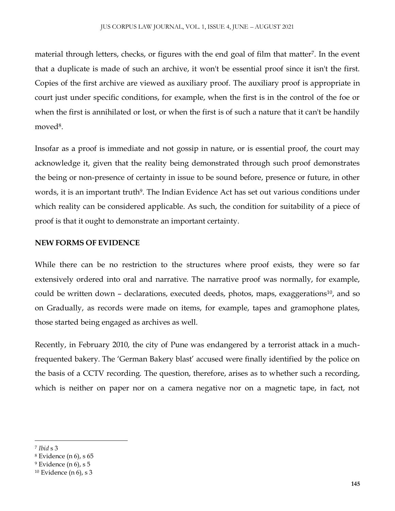material through letters, checks, or figures with the end goal of film that matter<sup>7</sup>. In the event that a duplicate is made of such an archive, it won't be essential proof since it isn't the first. Copies of the first archive are viewed as auxiliary proof. The auxiliary proof is appropriate in court just under specific conditions, for example, when the first is in the control of the foe or when the first is annihilated or lost, or when the first is of such a nature that it can't be handily moved<sup>8</sup>.

Insofar as a proof is immediate and not gossip in nature, or is essential proof, the court may acknowledge it, given that the reality being demonstrated through such proof demonstrates the being or non-presence of certainty in issue to be sound before, presence or future, in other words, it is an important truth<sup>9</sup>. The Indian Evidence Act has set out various conditions under which reality can be considered applicable. As such, the condition for suitability of a piece of proof is that it ought to demonstrate an important certainty.

#### **NEW FORMS OF EVIDENCE**

While there can be no restriction to the structures where proof exists, they were so far extensively ordered into oral and narrative. The narrative proof was normally, for example, could be written down  $-$  declarations, executed deeds, photos, maps, exaggerations<sup>10</sup>, and so on Gradually, as records were made on items, for example, tapes and gramophone plates, those started being engaged as archives as well.

Recently, in February 2010, the city of Pune was endangered by a terrorist attack in a muchfrequented bakery. The 'German Bakery blast' accused were finally identified by the police on the basis of a CCTV recording. The question, therefore, arises as to whether such a recording, which is neither on paper nor on a camera negative nor on a magnetic tape, in fact, not

<sup>7</sup> *Ibid* s 3

<sup>8</sup> Evidence (n 6), s 65

<sup>9</sup> Evidence (n 6), s 5

 $10$  Evidence (n 6), s 3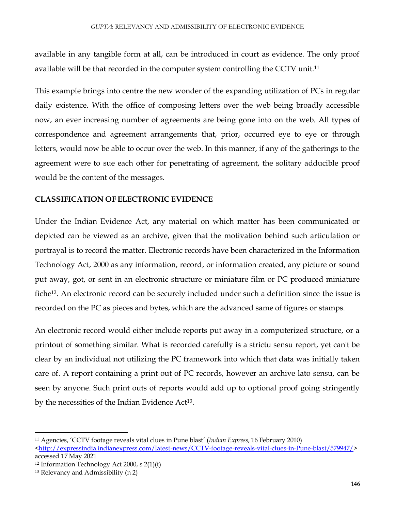available in any tangible form at all, can be introduced in court as evidence. The only proof available will be that recorded in the computer system controlling the CCTV unit.<sup>11</sup>

This example brings into centre the new wonder of the expanding utilization of PCs in regular daily existence. With the office of composing letters over the web being broadly accessible now, an ever increasing number of agreements are being gone into on the web. All types of correspondence and agreement arrangements that, prior, occurred eye to eye or through letters, would now be able to occur over the web. In this manner, if any of the gatherings to the agreement were to sue each other for penetrating of agreement, the solitary adducible proof would be the content of the messages.

#### **CLASSIFICATION OF ELECTRONIC EVIDENCE**

Under the Indian Evidence Act, any material on which matter has been communicated or depicted can be viewed as an archive, given that the motivation behind such articulation or portrayal is to record the matter. Electronic records have been characterized in the Information Technology Act, 2000 as any information, record, or information created, any picture or sound put away, got, or sent in an electronic structure or miniature film or PC produced miniature fiche<sup>12</sup>. An electronic record can be securely included under such a definition since the issue is recorded on the PC as pieces and bytes, which are the advanced same of figures or stamps.

An electronic record would either include reports put away in a computerized structure, or a printout of something similar. What is recorded carefully is a strictu sensu report, yet can't be clear by an individual not utilizing the PC framework into which that data was initially taken care of. A report containing a print out of PC records, however an archive lato sensu, can be seen by anyone. Such print outs of reports would add up to optional proof going stringently by the necessities of the Indian Evidence Act<sup>13</sup>.

 $\overline{a}$ 

<sup>11</sup> Agencies, 'CCTV footage reveals vital clues in Pune blast' (*Indian Express*, 16 February 2010)

[<sup>&</sup>lt;http://expressindia.indianexpress.com/latest-news/CCTV-footage-reveals-vital-clues-in-Pune-blast/579947/>](http://expressindia.indianexpress.com/latest-news/CCTV-footage-reveals-vital-clues-in-Pune-blast/579947/) accessed 17 May 2021

<sup>12</sup> Information Technology Act 2000, s 2(1)(t)

<sup>13</sup> Relevancy and Admissibility (n 2)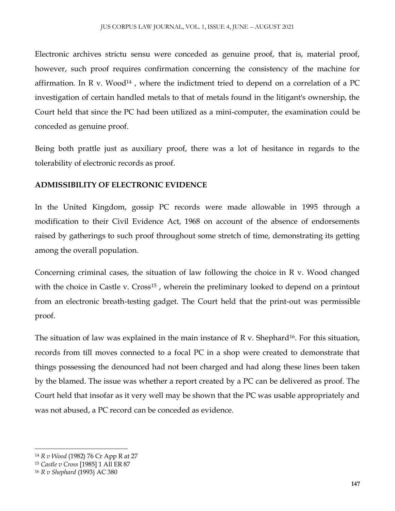Electronic archives strictu sensu were conceded as genuine proof, that is, material proof, however, such proof requires confirmation concerning the consistency of the machine for affirmation. In R v. Wood<sup>14</sup>, where the indictment tried to depend on a correlation of a PC investigation of certain handled metals to that of metals found in the litigant's ownership, the Court held that since the PC had been utilized as a mini-computer, the examination could be conceded as genuine proof.

Being both prattle just as auxiliary proof, there was a lot of hesitance in regards to the tolerability of electronic records as proof.

#### **ADMISSIBILITY OF ELECTRONIC EVIDENCE**

In the United Kingdom, gossip PC records were made allowable in 1995 through a modification to their Civil Evidence Act, 1968 on account of the absence of endorsements raised by gatherings to such proof throughout some stretch of time, demonstrating its getting among the overall population.

Concerning criminal cases, the situation of law following the choice in R v. Wood changed with the choice in Castle v. Cross<sup>15</sup>, wherein the preliminary looked to depend on a printout from an electronic breath-testing gadget. The Court held that the print-out was permissible proof.

The situation of law was explained in the main instance of R v. Shephard<sup>16</sup>. For this situation, records from till moves connected to a focal PC in a shop were created to demonstrate that things possessing the denounced had not been charged and had along these lines been taken by the blamed. The issue was whether a report created by a PC can be delivered as proof. The Court held that insofar as it very well may be shown that the PC was usable appropriately and was not abused, a PC record can be conceded as evidence.

<sup>14</sup> *R v Wood* (1982) 76 Cr App R at 27

<sup>15</sup> *Castle v Cross* [1985] 1 All ER 87

<sup>16</sup> *R v Shephard* (1993) AC 380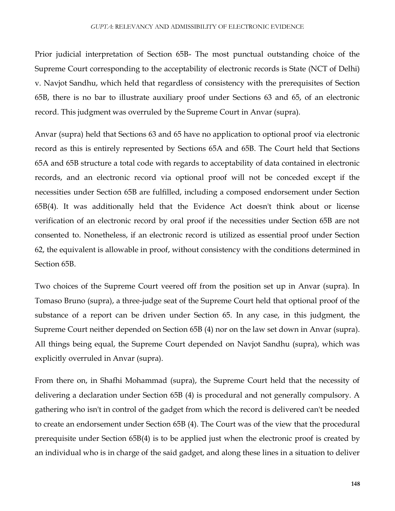Prior judicial interpretation of Section 65B- The most punctual outstanding choice of the Supreme Court corresponding to the acceptability of electronic records is State (NCT of Delhi) v. Navjot Sandhu, which held that regardless of consistency with the prerequisites of Section 65B, there is no bar to illustrate auxiliary proof under Sections 63 and 65, of an electronic record. This judgment was overruled by the Supreme Court in Anvar (supra).

Anvar (supra) held that Sections 63 and 65 have no application to optional proof via electronic record as this is entirely represented by Sections 65A and 65B. The Court held that Sections 65A and 65B structure a total code with regards to acceptability of data contained in electronic records, and an electronic record via optional proof will not be conceded except if the necessities under Section 65B are fulfilled, including a composed endorsement under Section 65B(4). It was additionally held that the Evidence Act doesn't think about or license verification of an electronic record by oral proof if the necessities under Section 65B are not consented to. Nonetheless, if an electronic record is utilized as essential proof under Section 62, the equivalent is allowable in proof, without consistency with the conditions determined in Section 65B.

Two choices of the Supreme Court veered off from the position set up in Anvar (supra). In Tomaso Bruno (supra), a three-judge seat of the Supreme Court held that optional proof of the substance of a report can be driven under Section 65. In any case, in this judgment, the Supreme Court neither depended on Section 65B (4) nor on the law set down in Anvar (supra). All things being equal, the Supreme Court depended on Navjot Sandhu (supra), which was explicitly overruled in Anvar (supra).

From there on, in Shafhi Mohammad (supra), the Supreme Court held that the necessity of delivering a declaration under Section 65B (4) is procedural and not generally compulsory. A gathering who isn't in control of the gadget from which the record is delivered can't be needed to create an endorsement under Section 65B (4). The Court was of the view that the procedural prerequisite under Section 65B(4) is to be applied just when the electronic proof is created by an individual who is in charge of the said gadget, and along these lines in a situation to deliver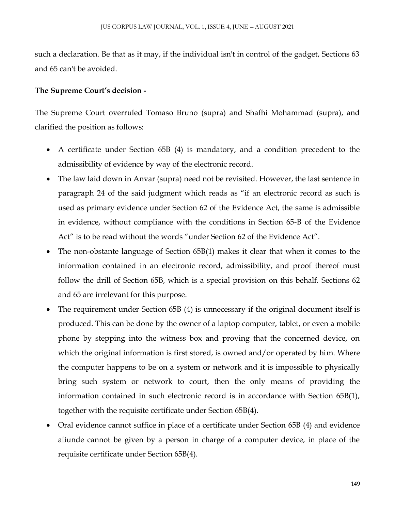such a declaration. Be that as it may, if the individual isn't in control of the gadget, Sections 63 and 65 can't be avoided.

#### **The Supreme Court's decision -**

The Supreme Court overruled Tomaso Bruno (supra) and Shafhi Mohammad (supra), and clarified the position as follows:

- A certificate under Section 65B (4) is mandatory, and a condition precedent to the admissibility of evidence by way of the electronic record.
- The law laid down in Anvar (supra) need not be revisited. However, the last sentence in paragraph 24 of the said judgment which reads as "if an electronic record as such is used as primary evidence under Section 62 of the Evidence Act, the same is admissible in evidence, without compliance with the conditions in Section 65-B of the Evidence Act" is to be read without the words "under Section 62 of the Evidence Act".
- The non-obstante language of Section 65B(1) makes it clear that when it comes to the information contained in an electronic record, admissibility, and proof thereof must follow the drill of Section 65B, which is a special provision on this behalf. Sections 62 and 65 are irrelevant for this purpose.
- The requirement under Section 65B (4) is unnecessary if the original document itself is produced. This can be done by the owner of a laptop computer, tablet, or even a mobile phone by stepping into the witness box and proving that the concerned device, on which the original information is first stored, is owned and/or operated by him. Where the computer happens to be on a system or network and it is impossible to physically bring such system or network to court, then the only means of providing the information contained in such electronic record is in accordance with Section 65B(1), together with the requisite certificate under Section 65B(4).
- Oral evidence cannot suffice in place of a certificate under Section 65B (4) and evidence aliunde cannot be given by a person in charge of a computer device, in place of the requisite certificate under Section 65B(4).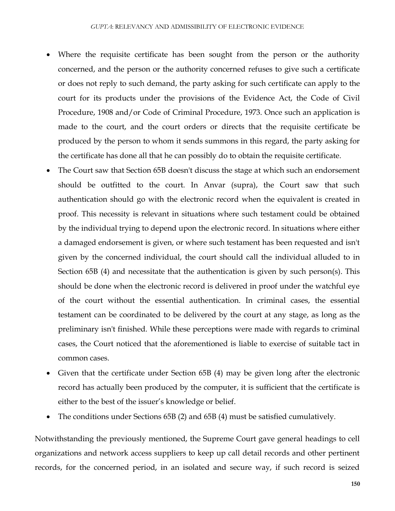- Where the requisite certificate has been sought from the person or the authority concerned, and the person or the authority concerned refuses to give such a certificate or does not reply to such demand, the party asking for such certificate can apply to the court for its products under the provisions of the Evidence Act, the Code of Civil Procedure, 1908 and/or Code of Criminal Procedure, 1973. Once such an application is made to the court, and the court orders or directs that the requisite certificate be produced by the person to whom it sends summons in this regard, the party asking for the certificate has done all that he can possibly do to obtain the requisite certificate.
- The Court saw that Section 65B doesn't discuss the stage at which such an endorsement should be outfitted to the court. In Anvar (supra), the Court saw that such authentication should go with the electronic record when the equivalent is created in proof. This necessity is relevant in situations where such testament could be obtained by the individual trying to depend upon the electronic record. In situations where either a damaged endorsement is given, or where such testament has been requested and isn't given by the concerned individual, the court should call the individual alluded to in Section 65B (4) and necessitate that the authentication is given by such person(s). This should be done when the electronic record is delivered in proof under the watchful eye of the court without the essential authentication. In criminal cases, the essential testament can be coordinated to be delivered by the court at any stage, as long as the preliminary isn't finished. While these perceptions were made with regards to criminal cases, the Court noticed that the aforementioned is liable to exercise of suitable tact in common cases.
- Given that the certificate under Section 65B (4) may be given long after the electronic record has actually been produced by the computer, it is sufficient that the certificate is either to the best of the issuer's knowledge or belief.
- The conditions under Sections 65B (2) and 65B (4) must be satisfied cumulatively.

Notwithstanding the previously mentioned, the Supreme Court gave general headings to cell organizations and network access suppliers to keep up call detail records and other pertinent records, for the concerned period, in an isolated and secure way, if such record is seized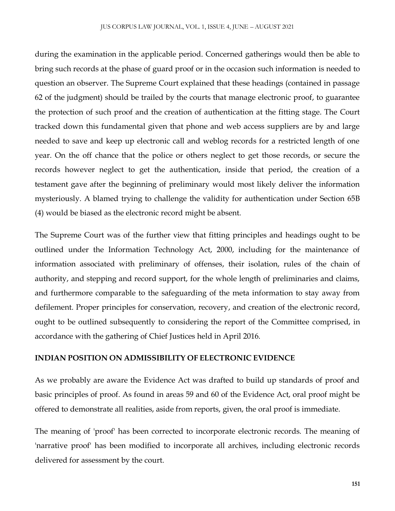during the examination in the applicable period. Concerned gatherings would then be able to bring such records at the phase of guard proof or in the occasion such information is needed to question an observer. The Supreme Court explained that these headings (contained in passage 62 of the judgment) should be trailed by the courts that manage electronic proof, to guarantee the protection of such proof and the creation of authentication at the fitting stage. The Court tracked down this fundamental given that phone and web access suppliers are by and large needed to save and keep up electronic call and weblog records for a restricted length of one year. On the off chance that the police or others neglect to get those records, or secure the records however neglect to get the authentication, inside that period, the creation of a testament gave after the beginning of preliminary would most likely deliver the information mysteriously. A blamed trying to challenge the validity for authentication under Section 65B (4) would be biased as the electronic record might be absent.

The Supreme Court was of the further view that fitting principles and headings ought to be outlined under the Information Technology Act, 2000, including for the maintenance of information associated with preliminary of offenses, their isolation, rules of the chain of authority, and stepping and record support, for the whole length of preliminaries and claims, and furthermore comparable to the safeguarding of the meta information to stay away from defilement. Proper principles for conservation, recovery, and creation of the electronic record, ought to be outlined subsequently to considering the report of the Committee comprised, in accordance with the gathering of Chief Justices held in April 2016.

#### **INDIAN POSITION ON ADMISSIBILITY OF ELECTRONIC EVIDENCE**

As we probably are aware the Evidence Act was drafted to build up standards of proof and basic principles of proof. As found in areas 59 and 60 of the Evidence Act, oral proof might be offered to demonstrate all realities, aside from reports, given, the oral proof is immediate.

The meaning of 'proof' has been corrected to incorporate electronic records. The meaning of 'narrative proof' has been modified to incorporate all archives, including electronic records delivered for assessment by the court.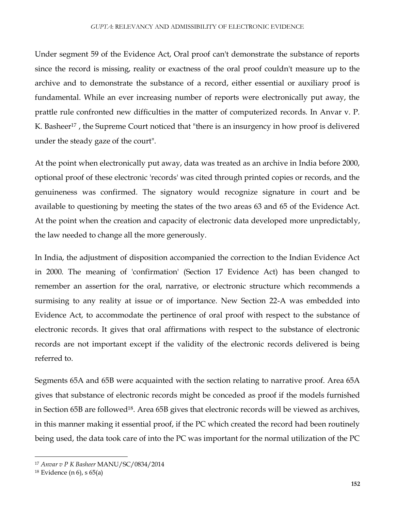#### *GUPTA*: RELEVANCY AND ADMISSIBILITY OF ELECTRONIC EVIDENCE

Under segment 59 of the Evidence Act, Oral proof can't demonstrate the substance of reports since the record is missing, reality or exactness of the oral proof couldn't measure up to the archive and to demonstrate the substance of a record, either essential or auxiliary proof is fundamental. While an ever increasing number of reports were electronically put away, the prattle rule confronted new difficulties in the matter of computerized records. In Anvar v. P. K. Basheer<sup>17</sup>, the Supreme Court noticed that "there is an insurgency in how proof is delivered under the steady gaze of the court".

At the point when electronically put away, data was treated as an archive in India before 2000, optional proof of these electronic 'records' was cited through printed copies or records, and the genuineness was confirmed. The signatory would recognize signature in court and be available to questioning by meeting the states of the two areas 63 and 65 of the Evidence Act. At the point when the creation and capacity of electronic data developed more unpredictably, the law needed to change all the more generously.

In India, the adjustment of disposition accompanied the correction to the Indian Evidence Act in 2000. The meaning of 'confirmation' (Section 17 Evidence Act) has been changed to remember an assertion for the oral, narrative, or electronic structure which recommends a surmising to any reality at issue or of importance. New Section 22-A was embedded into Evidence Act, to accommodate the pertinence of oral proof with respect to the substance of electronic records. It gives that oral affirmations with respect to the substance of electronic records are not important except if the validity of the electronic records delivered is being referred to.

Segments 65A and 65B were acquainted with the section relating to narrative proof. Area 65A gives that substance of electronic records might be conceded as proof if the models furnished in Section 65B are followed18. Area 65B gives that electronic records will be viewed as archives, in this manner making it essential proof, if the PC which created the record had been routinely being used, the data took care of into the PC was important for the normal utilization of the PC

<sup>17</sup> *Anvar v P K Basheer* MANU/SC/0834/2014

 $18$  Evidence (n 6), s  $65(a)$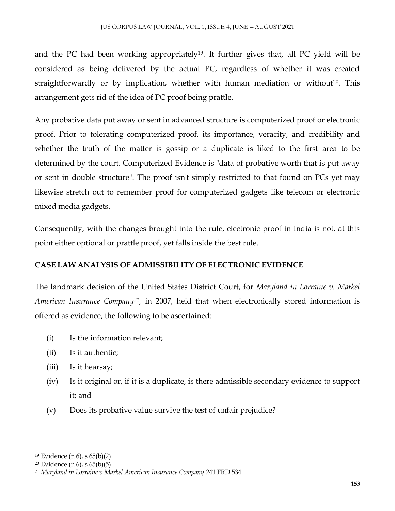and the PC had been working appropriately<sup>19</sup>. It further gives that, all PC yield will be considered as being delivered by the actual PC, regardless of whether it was created straightforwardly or by implication, whether with human mediation or without<sup>20</sup>. This arrangement gets rid of the idea of PC proof being prattle.

Any probative data put away or sent in advanced structure is computerized proof or electronic proof. Prior to tolerating computerized proof, its importance, veracity, and credibility and whether the truth of the matter is gossip or a duplicate is liked to the first area to be determined by the court. Computerized Evidence is "data of probative worth that is put away or sent in double structure". The proof isn't simply restricted to that found on PCs yet may likewise stretch out to remember proof for computerized gadgets like telecom or electronic mixed media gadgets.

Consequently, with the changes brought into the rule, electronic proof in India is not, at this point either optional or prattle proof, yet falls inside the best rule.

### **CASE LAW ANALYSIS OF ADMISSIBILITY OF ELECTRONIC EVIDENCE**

The landmark decision of the United States District Court, for *Maryland in Lorraine v. Markel American Insurance Company<sup>21</sup> ,* in 2007, held that when electronically stored information is offered as evidence, the following to be ascertained:

- (i) Is the information relevant;
- (ii) Is it authentic;
- (iii) Is it hearsay;
- (iv) Is it original or, if it is a duplicate, is there admissible secondary evidence to support it; and
- (v) Does its probative value survive the test of unfair prejudice?

<sup>19</sup> Evidence (n 6), s 65(b)(2)

<sup>20</sup> Evidence (n 6), s 65(b)(5)

<sup>21</sup> *Maryland in Lorraine v Markel American Insurance Company* 241 FRD 534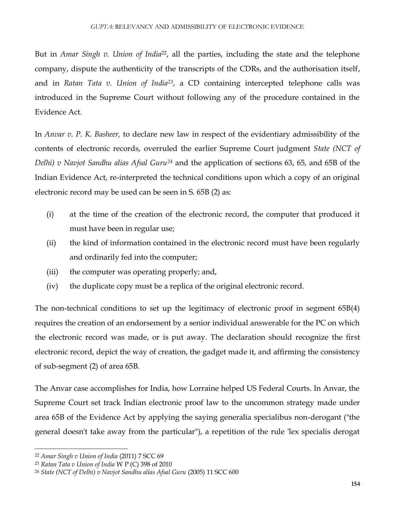But in *Amar Singh v. Union of India*22, all the parties, including the state and the telephone company, dispute the authenticity of the transcripts of the CDRs, and the authorisation itself, and in *Ratan Tata v. Union of India<sup>23</sup>*, a CD containing intercepted telephone calls was introduced in the Supreme Court without following any of the procedure contained in the Evidence Act.

In *Anvar v. P. K. Basheer,* to declare new law in respect of the evidentiary admissibility of the contents of electronic records, overruled the earlier Supreme Court judgment *State (NCT of Delhi) v Navjot Sandhu alias Afsal Guru<sup>24</sup>* and the application of sections 63, 65, and 65B of the Indian Evidence Act, re-interpreted the technical conditions upon which a copy of an original electronic record may be used can be seen in S. 65B (2) as:

- (i) at the time of the creation of the electronic record, the computer that produced it must have been in regular use;
- (ii) the kind of information contained in the electronic record must have been regularly and ordinarily fed into the computer;
- (iii) the computer was operating properly; and,
- (iv) the duplicate copy must be a replica of the original electronic record.

The non-technical conditions to set up the legitimacy of electronic proof in segment 65B(4) requires the creation of an endorsement by a senior individual answerable for the PC on which the electronic record was made, or is put away. The declaration should recognize the first electronic record, depict the way of creation, the gadget made it, and affirming the consistency of sub-segment (2) of area 65B.

The Anvar case accomplishes for India, how Lorraine helped US Federal Courts. In Anvar, the Supreme Court set track Indian electronic proof law to the uncommon strategy made under area 65B of the Evidence Act by applying the saying generalia specialibus non-derogant ("the general doesn't take away from the particular"), a repetition of the rule 'lex specialis derogat

<sup>22</sup> *Amar Singh v Union of India* (2011) 7 SCC 69

<sup>23</sup> *Ratan Tata v Union of India* W P (C) 398 of 2010

<sup>24</sup> *State (NCT of Delhi) v Navjot Sandhu alias Afsal Guru* (2005) 11 SCC 600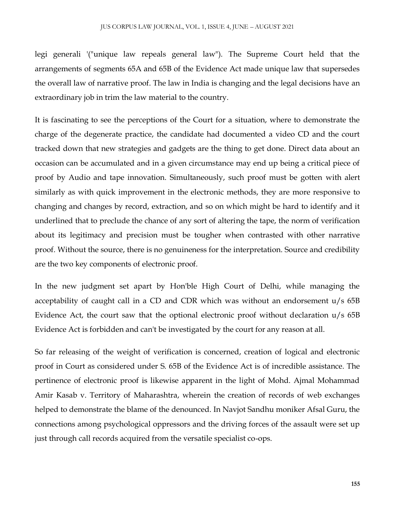legi generali '("unique law repeals general law"). The Supreme Court held that the arrangements of segments 65A and 65B of the Evidence Act made unique law that supersedes the overall law of narrative proof. The law in India is changing and the legal decisions have an extraordinary job in trim the law material to the country.

It is fascinating to see the perceptions of the Court for a situation, where to demonstrate the charge of the degenerate practice, the candidate had documented a video CD and the court tracked down that new strategies and gadgets are the thing to get done. Direct data about an occasion can be accumulated and in a given circumstance may end up being a critical piece of proof by Audio and tape innovation. Simultaneously, such proof must be gotten with alert similarly as with quick improvement in the electronic methods, they are more responsive to changing and changes by record, extraction, and so on which might be hard to identify and it underlined that to preclude the chance of any sort of altering the tape, the norm of verification about its legitimacy and precision must be tougher when contrasted with other narrative proof. Without the source, there is no genuineness for the interpretation. Source and credibility are the two key components of electronic proof.

In the new judgment set apart by Hon'ble High Court of Delhi, while managing the acceptability of caught call in a CD and CDR which was without an endorsement u/s 65B Evidence Act, the court saw that the optional electronic proof without declaration u/s 65B Evidence Act is forbidden and can't be investigated by the court for any reason at all.

So far releasing of the weight of verification is concerned, creation of logical and electronic proof in Court as considered under S. 65B of the Evidence Act is of incredible assistance. The pertinence of electronic proof is likewise apparent in the light of Mohd. Ajmal Mohammad Amir Kasab v. Territory of Maharashtra, wherein the creation of records of web exchanges helped to demonstrate the blame of the denounced. In Navjot Sandhu moniker Afsal Guru, the connections among psychological oppressors and the driving forces of the assault were set up just through call records acquired from the versatile specialist co-ops.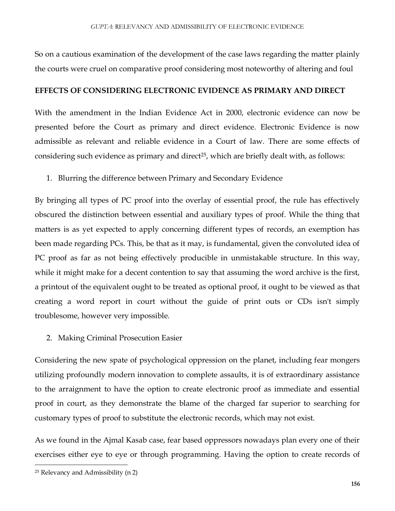So on a cautious examination of the development of the case laws regarding the matter plainly the courts were cruel on comparative proof considering most noteworthy of altering and foul

#### **EFFECTS OF CONSIDERING ELECTRONIC EVIDENCE AS PRIMARY AND DIRECT**

With the amendment in the Indian Evidence Act in 2000, electronic evidence can now be presented before the Court as primary and direct evidence. Electronic Evidence is now admissible as relevant and reliable evidence in a Court of law. There are some effects of considering such evidence as primary and direct<sup>25</sup>, which are briefly dealt with, as follows:

1. Blurring the difference between Primary and Secondary Evidence

By bringing all types of PC proof into the overlay of essential proof, the rule has effectively obscured the distinction between essential and auxiliary types of proof. While the thing that matters is as yet expected to apply concerning different types of records, an exemption has been made regarding PCs. This, be that as it may, is fundamental, given the convoluted idea of PC proof as far as not being effectively producible in unmistakable structure. In this way, while it might make for a decent contention to say that assuming the word archive is the first, a printout of the equivalent ought to be treated as optional proof, it ought to be viewed as that creating a word report in court without the guide of print outs or CDs isn't simply troublesome, however very impossible.

2. Making Criminal Prosecution Easier

Considering the new spate of psychological oppression on the planet, including fear mongers utilizing profoundly modern innovation to complete assaults, it is of extraordinary assistance to the arraignment to have the option to create electronic proof as immediate and essential proof in court, as they demonstrate the blame of the charged far superior to searching for customary types of proof to substitute the electronic records, which may not exist.

As we found in the Ajmal Kasab case, fear based oppressors nowadays plan every one of their exercises either eye to eye or through programming. Having the option to create records of

<sup>25</sup> Relevancy and Admissibility (n 2)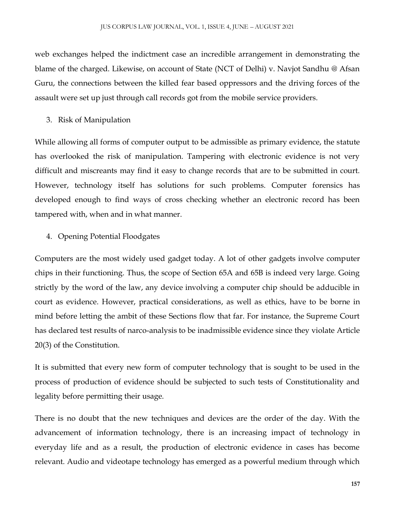web exchanges helped the indictment case an incredible arrangement in demonstrating the blame of the charged. Likewise, on account of State (NCT of Delhi) v. Navjot Sandhu @ Afsan Guru, the connections between the killed fear based oppressors and the driving forces of the assault were set up just through call records got from the mobile service providers.

#### 3. Risk of Manipulation

While allowing all forms of computer output to be admissible as primary evidence, the statute has overlooked the risk of manipulation. Tampering with electronic evidence is not very difficult and miscreants may find it easy to change records that are to be submitted in court. However, technology itself has solutions for such problems. Computer forensics has developed enough to find ways of cross checking whether an electronic record has been tampered with, when and in what manner.

#### 4. Opening Potential Floodgates

Computers are the most widely used gadget today. A lot of other gadgets involve computer chips in their functioning. Thus, the scope of Section 65A and 65B is indeed very large. Going strictly by the word of the law, any device involving a computer chip should be adducible in court as evidence. However, practical considerations, as well as ethics, have to be borne in mind before letting the ambit of these Sections flow that far. For instance, the Supreme Court has declared test results of narco-analysis to be inadmissible evidence since they violate Article 20(3) of the Constitution.

It is submitted that every new form of computer technology that is sought to be used in the process of production of evidence should be subjected to such tests of Constitutionality and legality before permitting their usage.

There is no doubt that the new techniques and devices are the order of the day. With the advancement of information technology, there is an increasing impact of technology in everyday life and as a result, the production of electronic evidence in cases has become relevant. Audio and videotape technology has emerged as a powerful medium through which